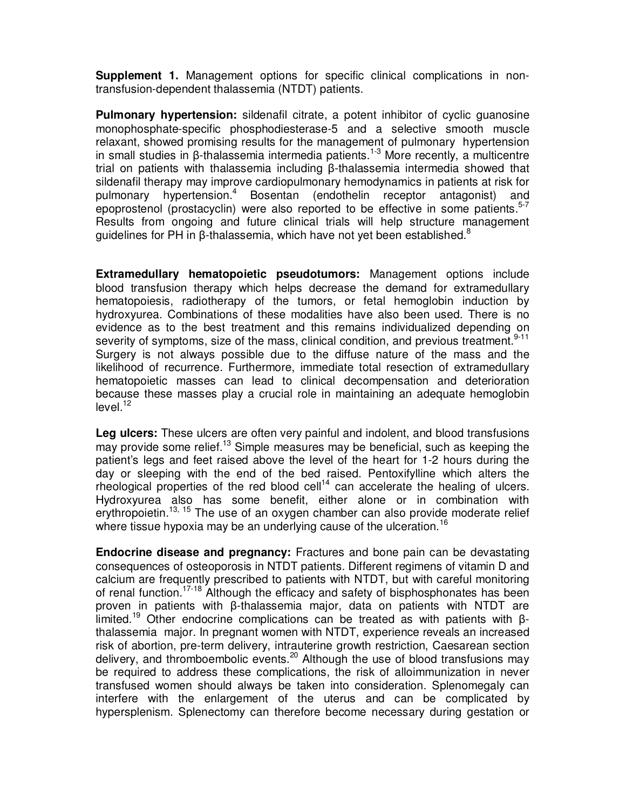**Supplement 1.** Management options for specific clinical complications in nontransfusion-dependent thalassemia (NTDT) patients.

**Pulmonary hypertension:** sildenafil citrate, a potent inhibitor of cyclic guanosine monophosphate-specific phosphodiesterase-5 and a selective smooth muscle relaxant, showed promising results for the management of pulmonary hypertension in small studies in β-thalassemia intermedia patients.<sup>1-3</sup> More recently, a multicentre trial on patients with thalassemia including β-thalassemia intermedia showed that sildenafil therapy may improve cardiopulmonary hemodynamics in patients at risk for pulmonary hypertension.<sup>4</sup> Bosentan (endothelin receptor antagonist) and epoprostenol (prostacyclin) were also reported to be effective in some patients.<sup>5-7</sup> Results from ongoing and future clinical trials will help structure management guidelines for PH in β-thalassemia, which have not yet been established.<sup>8</sup>

**Extramedullary hematopoietic pseudotumors:** Management options include blood transfusion therapy which helps decrease the demand for extramedullary hematopoiesis, radiotherapy of the tumors, or fetal hemoglobin induction by hydroxyurea. Combinations of these modalities have also been used. There is no evidence as to the best treatment and this remains individualized depending on severity of symptoms, size of the mass, clinical condition, and previous treatment.<sup>9-11</sup> Surgery is not always possible due to the diffuse nature of the mass and the likelihood of recurrence. Furthermore, immediate total resection of extramedullary hematopoietic masses can lead to clinical decompensation and deterioration because these masses play a crucial role in maintaining an adequate hemoglobin  $level.<sup>12</sup>$ 

Leg ulcers: These ulcers are often very painful and indolent, and blood transfusions may provide some relief.<sup>13</sup> Simple measures may be beneficial, such as keeping the patient's legs and feet raised above the level of the heart for 1-2 hours during the day or sleeping with the end of the bed raised. Pentoxifylline which alters the rheological properties of the red blood cell<sup>14</sup> can accelerate the healing of ulcers. Hydroxyurea also has some benefit, either alone or in combination with erythropoietin.<sup>13, 15</sup> The use of an oxygen chamber can also provide moderate relief where tissue hypoxia may be an underlying cause of the ulceration.  $^{16}$ 

**Endocrine disease and pregnancy:** Fractures and bone pain can be devastating consequences of osteoporosis in NTDT patients. Different regimens of vitamin D and calcium are frequently prescribed to patients with NTDT, but with careful monitoring of renal function.<sup>17-18</sup> Although the efficacy and safety of bisphosphonates has been proven in patients with β-thalassemia major, data on patients with NTDT are limited.<sup>19</sup> Other endocrine complications can be treated as with patients with βthalassemia major. In pregnant women with NTDT, experience reveals an increased risk of abortion, pre-term delivery, intrauterine growth restriction, Caesarean section delivery, and thromboembolic events.<sup>20</sup> Although the use of blood transfusions may be required to address these complications, the risk of alloimmunization in never transfused women should always be taken into consideration. Splenomegaly can interfere with the enlargement of the uterus and can be complicated by hypersplenism. Splenectomy can therefore become necessary during gestation or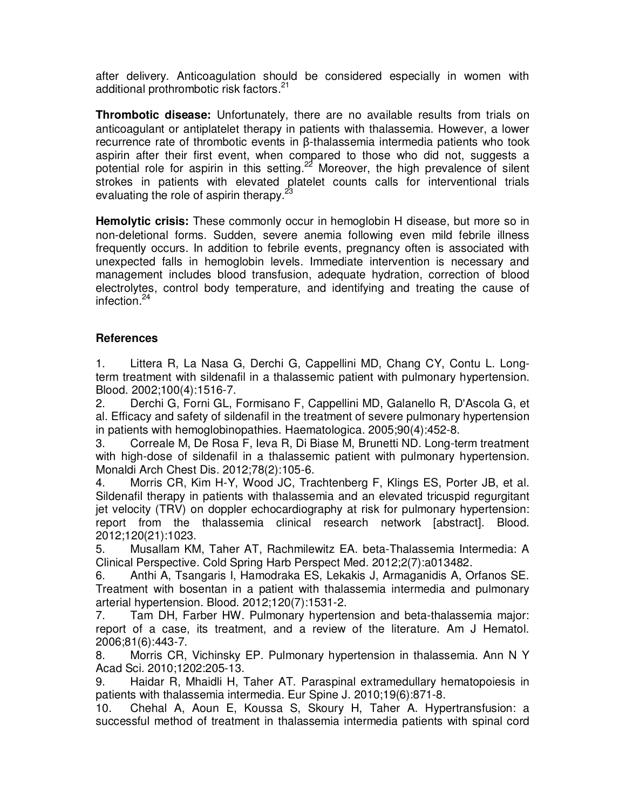after delivery. Anticoagulation should be considered especially in women with additional prothrombotic risk factors.<sup>21</sup>

**Thrombotic disease:** Unfortunately, there are no available results from trials on anticoagulant or antiplatelet therapy in patients with thalassemia. However, a lower recurrence rate of thrombotic events in β-thalassemia intermedia patients who took aspirin after their first event, when compared to those who did not, suggests a potential role for aspirin in this setting.<sup>22</sup> Moreover, the high prevalence of silent strokes in patients with elevated platelet counts calls for interventional trials evaluating the role of aspirin therapy.<sup>23</sup>

**Hemolytic crisis:** These commonly occur in hemoglobin H disease, but more so in non-deletional forms. Sudden, severe anemia following even mild febrile illness frequently occurs. In addition to febrile events, pregnancy often is associated with unexpected falls in hemoglobin levels. Immediate intervention is necessary and management includes blood transfusion, adequate hydration, correction of blood electrolytes, control body temperature, and identifying and treating the cause of infection.<sup>24</sup>

## **References**

1. Littera R, La Nasa G, Derchi G, Cappellini MD, Chang CY, Contu L. Longterm treatment with sildenafil in a thalassemic patient with pulmonary hypertension. Blood. 2002;100(4):1516-7.

2. Derchi G, Forni GL, Formisano F, Cappellini MD, Galanello R, D'Ascola G, et al. Efficacy and safety of sildenafil in the treatment of severe pulmonary hypertension in patients with hemoglobinopathies. Haematologica. 2005;90(4):452-8.

3. Correale M, De Rosa F, Ieva R, Di Biase M, Brunetti ND. Long-term treatment with high-dose of sildenafil in a thalassemic patient with pulmonary hypertension. Monaldi Arch Chest Dis. 2012;78(2):105-6.

4. Morris CR, Kim H-Y, Wood JC, Trachtenberg F, Klings ES, Porter JB, et al. Sildenafil therapy in patients with thalassemia and an elevated tricuspid regurgitant jet velocity (TRV) on doppler echocardiography at risk for pulmonary hypertension: report from the thalassemia clinical research network [abstract]. Blood. 2012;120(21):1023.

5. Musallam KM, Taher AT, Rachmilewitz EA. beta-Thalassemia Intermedia: A Clinical Perspective. Cold Spring Harb Perspect Med. 2012;2(7):a013482.

6. Anthi A, Tsangaris I, Hamodraka ES, Lekakis J, Armaganidis A, Orfanos SE. Treatment with bosentan in a patient with thalassemia intermedia and pulmonary arterial hypertension. Blood. 2012;120(7):1531-2.

7. Tam DH, Farber HW. Pulmonary hypertension and beta-thalassemia major: report of a case, its treatment, and a review of the literature. Am J Hematol. 2006;81(6):443-7.

8. Morris CR, Vichinsky EP. Pulmonary hypertension in thalassemia. Ann N Y Acad Sci. 2010;1202:205-13.

9. Haidar R, Mhaidli H, Taher AT. Paraspinal extramedullary hematopoiesis in patients with thalassemia intermedia. Eur Spine J. 2010;19(6):871-8.

10. Chehal A, Aoun E, Koussa S, Skoury H, Taher A. Hypertransfusion: a successful method of treatment in thalassemia intermedia patients with spinal cord